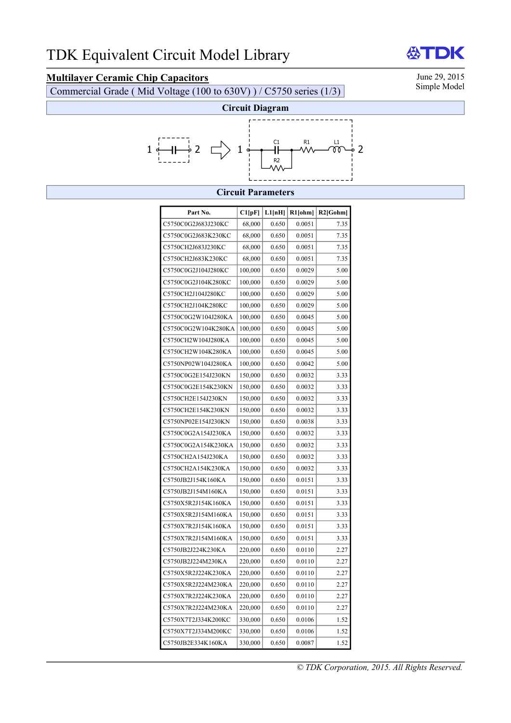# **Multilayer Ceramic Chip Capacitors**<br>Commercial Grade (Mid Voltage (100 to 630V) ) / C5750 series (1/3) Simple Model

Commercial Grade ( Mid Voltage (100 to 630V) ) / C5750 series (1/3)



### **Circuit Parameters**

| Part No.            | Cl[pF]  | L1[nH] | R1[ohm] | $R2$ [Gohm] |
|---------------------|---------|--------|---------|-------------|
| C5750C0G2J683J230KC | 68,000  | 0.650  | 0.0051  | 7.35        |
| C5750C0G2J683K230KC | 68,000  | 0.650  | 0.0051  | 7.35        |
| C5750CH2J683J230KC  | 68,000  | 0.650  | 0.0051  | 7.35        |
| C5750CH2J683K230KC  | 68,000  | 0.650  | 0.0051  | 7.35        |
| C5750C0G2J104J280KC | 100,000 | 0.650  | 0.0029  | 5.00        |
| C5750C0G2J104K280KC | 100,000 | 0.650  | 0.0029  | 5.00        |
| C5750CH2J104J280KC  | 100,000 | 0.650  | 0.0029  | 5.00        |
| C5750CH2J104K280KC  | 100,000 | 0.650  | 0.0029  | 5.00        |
| C5750C0G2W104J280KA | 100,000 | 0.650  | 0.0045  | 5.00        |
| C5750C0G2W104K280KA | 100,000 | 0.650  | 0.0045  | 5.00        |
| C5750CH2W104J280KA  | 100,000 | 0.650  | 0.0045  | 5.00        |
| C5750CH2W104K280KA  | 100,000 | 0.650  | 0.0045  | 5.00        |
| C5750NP02W104J280KA | 100,000 | 0.650  | 0.0042  | 5.00        |
| C5750C0G2E154J230KN | 150,000 | 0.650  | 0.0032  | 3.33        |
| C5750C0G2E154K230KN | 150,000 | 0.650  | 0.0032  | 3.33        |
| C5750CH2E154J230KN  | 150,000 | 0.650  | 0.0032  | 3.33        |
| C5750CH2E154K230KN  | 150,000 | 0.650  | 0.0032  | 3.33        |
| C5750NP02E154J230KN | 150,000 | 0.650  | 0.0038  | 3.33        |
| C5750C0G2A154J230KA | 150,000 | 0.650  | 0.0032  | 3.33        |
| C5750C0G2A154K230KA | 150,000 | 0.650  | 0.0032  | 3.33        |
| C5750CH2A154J230KA  | 150,000 | 0.650  | 0.0032  | 3.33        |
| C5750CH2A154K230KA  | 150,000 | 0.650  | 0.0032  | 3.33        |
| C5750JB2J154K160KA  | 150,000 | 0.650  | 0.0151  | 3.33        |
| C5750JB2J154M160KA  | 150,000 | 0.650  | 0.0151  | 3.33        |
| C5750X5R2J154K160KA | 150,000 | 0.650  | 0.0151  | 3.33        |
| C5750X5R2J154M160KA | 150,000 | 0.650  | 0.0151  | 3.33        |
| C5750X7R2J154K160KA | 150,000 | 0.650  | 0.0151  | 3.33        |
| C5750X7R2J154M160KA | 150,000 | 0.650  | 0.0151  | 3.33        |
| C5750JB2J224K230KA  | 220,000 | 0.650  | 0.0110  | 2.27        |
| C5750JB2J224M230KA  | 220,000 | 0.650  | 0.0110  | 2.27        |
| C5750X5R2J224K230KA | 220,000 | 0.650  | 0.0110  | 2.27        |
| C5750X5R2J224M230KA | 220,000 | 0.650  | 0.0110  | 2.27        |
| C5750X7R2J224K230KA | 220,000 | 0.650  | 0.0110  | 2.27        |
| C5750X7R2J224M230KA | 220,000 | 0.650  | 0.0110  | 2.27        |
| C5750X7T2J334K200KC | 330,000 | 0.650  | 0.0106  | 1.52        |
| C5750X7T2J334M200KC | 330,000 | 0.650  | 0.0106  | 1.52        |
| C5750JB2E334K160KA  | 330,000 | 0.650  | 0.0087  | 1.52        |

*© TDK Corporation, 2015. All Rights Reserved.* 

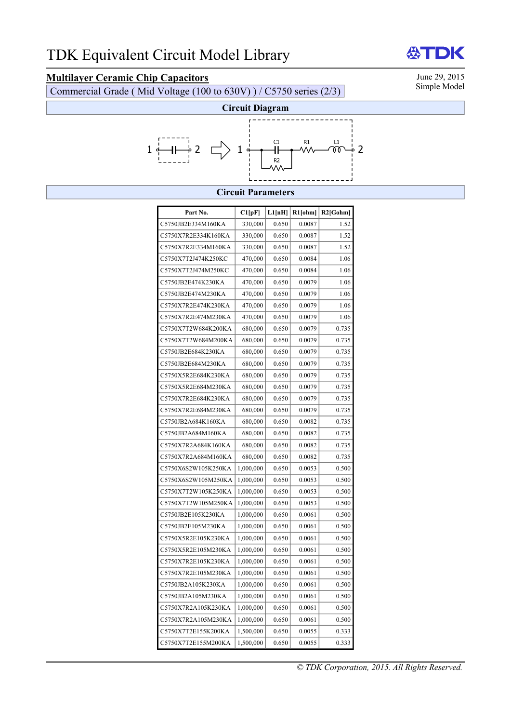# **Multilayer Ceramic Chip Capacitors**<br>Commercial Grade (Mid Voltage (100 to 630V) ) / C5750 series (2/3) Simple Model

Commercial Grade ( Mid Voltage (100 to 630V) ) / C5750 series (2/3)

DK



### **Circuit Parameters**

| Part No.            | Cl[pF]    | L1[nH] | R1[ohm] | $R2$ [Gohm] |
|---------------------|-----------|--------|---------|-------------|
| C5750JB2E334M160KA  | 330,000   | 0.650  | 0.0087  | 1.52        |
| C5750X7R2E334K160KA | 330,000   | 0.650  | 0.0087  | 1.52        |
| C5750X7R2E334M160KA | 330,000   | 0.650  | 0.0087  | 1.52        |
| C5750X7T2J474K250KC | 470,000   | 0.650  | 0.0084  | 1.06        |
| C5750X7T2J474M250KC | 470,000   | 0.650  | 0.0084  | 1.06        |
| C5750JB2E474K230KA  | 470,000   | 0.650  | 0.0079  | 1.06        |
| C5750JB2E474M230KA  | 470,000   | 0.650  | 0.0079  | 1.06        |
| C5750X7R2E474K230KA | 470,000   | 0.650  | 0.0079  | 1.06        |
| C5750X7R2E474M230KA | 470,000   | 0.650  | 0.0079  | 1.06        |
| C5750X7T2W684K200KA | 680,000   | 0.650  | 0.0079  | 0.735       |
| C5750X7T2W684M200KA | 680,000   | 0.650  | 0.0079  | 0.735       |
| C5750JB2E684K230KA  | 680,000   | 0.650  | 0.0079  | 0.735       |
| C5750JB2E684M230KA  | 680,000   | 0.650  | 0.0079  | 0.735       |
| C5750X5R2E684K230KA | 680,000   | 0.650  | 0.0079  | 0.735       |
| C5750X5R2E684M230KA | 680,000   | 0.650  | 0.0079  | 0.735       |
| C5750X7R2E684K230KA | 680,000   | 0.650  | 0.0079  | 0.735       |
| C5750X7R2E684M230KA | 680,000   | 0.650  | 0.0079  | 0.735       |
| C5750JB2A684K160KA  | 680,000   | 0.650  | 0.0082  | 0.735       |
| C5750JB2A684M160KA  | 680,000   | 0.650  | 0.0082  | 0.735       |
| C5750X7R2A684K160KA | 680,000   | 0.650  | 0.0082  | 0.735       |
| C5750X7R2A684M160KA | 680,000   | 0.650  | 0.0082  | 0.735       |
| C5750X6S2W105K250KA | 1,000,000 | 0.650  | 0.0053  | 0.500       |
| C5750X6S2W105M250KA | 1,000,000 | 0.650  | 0.0053  | 0.500       |
| C5750X7T2W105K250KA | 1,000,000 | 0.650  | 0.0053  | 0.500       |
| C5750X7T2W105M250KA | 1,000,000 | 0.650  | 0.0053  | 0.500       |
| C5750JB2E105K230KA  | 1,000,000 | 0.650  | 0.0061  | 0.500       |
| C5750JB2E105M230KA  | 1,000,000 | 0.650  | 0.0061  | 0.500       |
| C5750X5R2E105K230KA | 1,000,000 | 0.650  | 0.0061  | 0.500       |
| C5750X5R2E105M230KA | 1,000,000 | 0.650  | 0.0061  | 0.500       |
| C5750X7R2E105K230KA | 1,000,000 | 0.650  | 0.0061  | 0.500       |
| C5750X7R2E105M230KA | 1,000,000 | 0.650  | 0.0061  | 0.500       |
| C5750JB2A105K230KA  | 1,000,000 | 0.650  | 0.0061  | 0.500       |
| C5750JB2A105M230KA  | 1,000,000 | 0.650  | 0.0061  | 0.500       |
| C5750X7R2A105K230KA | 1,000,000 | 0.650  | 0.0061  | 0.500       |
| C5750X7R2A105M230KA | 1,000,000 | 0.650  | 0.0061  | 0.500       |
| C5750X7T2E155K200KA | 1,500,000 | 0.650  | 0.0055  | 0.333       |
| C5750X7T2E155M200KA | 1,500,000 | 0.650  | 0.0055  | 0.333       |

份